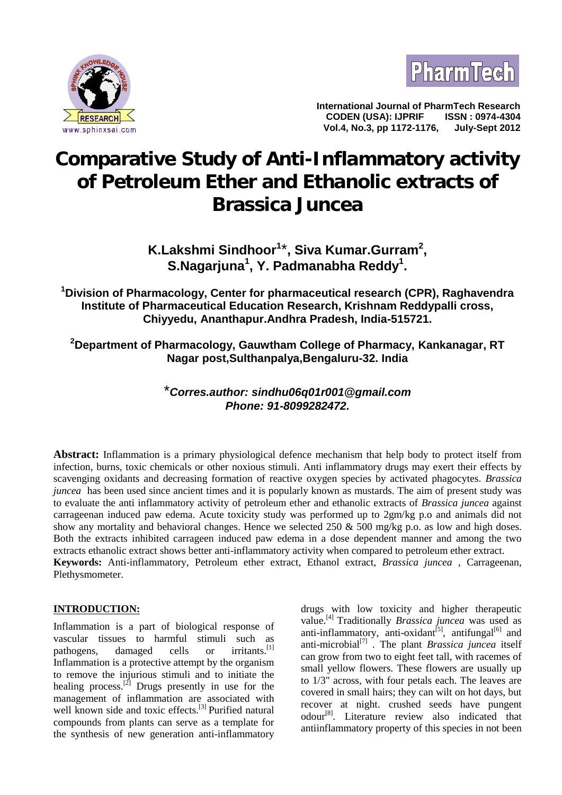



**International Journal of PharmTech Research CODEN (USA): IJPRIF ISSN : 0974-4304 Vol.4, No.3, pp 1172-1176, July-Sept 2012**

# **Comparative Study of Anti-Inflammatory activity of Petroleum Ether and Ethanolic extracts of** *Brassica Juncea*

**K.Lakshmi Sindhoor<sup>1</sup>**\***, Siva Kumar.Gurram<sup>2</sup> , S.Nagarjuna<sup>1</sup> , Y. Padmanabha Reddy<sup>1</sup> .**

**<sup>1</sup>Division of Pharmacology, Center for pharmaceutical research (CPR), Raghavendra Institute of Pharmaceutical Education Research, Krishnam Reddypalli cross, Chiyyedu, Ananthapur.Andhra Pradesh, India-515721.**

**<sup>2</sup>Department of Pharmacology, Gauwtham College of Pharmacy, Kankanagar, RT Nagar post,Sulthanpalya,Bengaluru-32. India**

## \**Corres.author: sindhu06q01r001@gmail.com Phone: 91-8099282472.*

**Abstract:** Inflammation is a primary physiological defence mechanism that help body to protect itself from infection, burns, toxic chemicals or other noxious stimuli. Anti inflammatory drugs may exert their effects by scavenging oxidants and decreasing formation of reactive oxygen species by activated phagocytes. *Brassica juncea* has been used since ancient times and it is popularly known as mustards. The aim of present study was to evaluate the anti inflammatory activity of petroleum ether and ethanolic extracts of *Brassica juncea* against carrageenan induced paw edema. Acute toxicity study was performed up to 2gm/kg p.o and animals did not show any mortality and behavioral changes. Hence we selected  $250 \& 500$  mg/kg p.o. as low and high doses. Both the extracts inhibited carrageen induced paw edema in a dose dependent manner and among the two extracts ethanolic extract shows better anti-inflammatory activity when compared to petroleum ether extract. **Keywords:** Anti-inflammatory, Petroleum ether extract, Ethanol extract, *Brassica juncea* , Carrageenan, Plethysmometer.

### **INTRODUCTION:**

Inflammation is a part of biological response of vascular tissues to harmful stimuli such as pathogens, damaged cells or irritants.<sup>[1]</sup> Inflammation is a protective attempt by the organism to remove the injurious stimuli and to initiate the healing process.<sup>[2]</sup> Drugs presently in use for the management of inflammation are associated with well known side and toxic effects.<sup>[3]</sup> Purified natural compounds from plants can serve as a template for the synthesis of new generation anti-inflammatory

drugs with low toxicity and higher therapeutic value.[4] Traditionally *Brassica juncea* was used as anti-inflammatory, anti-oxidant<sup>[5]</sup>, antifungal<sup>[6]</sup> and anti-microbial[7] . The plant *Brassica juncea* itself can grow from two to eight feet tall, with racemes of small yellow flowers. These flowers are usually up to 1/3" across, with four petals each. The leaves are covered in small hairs; they can wilt on hot days, but recover at night. crushed seeds have pungent odour<sup>[8]</sup>. Literature review also indicated that antiinflammatory property of this species in not been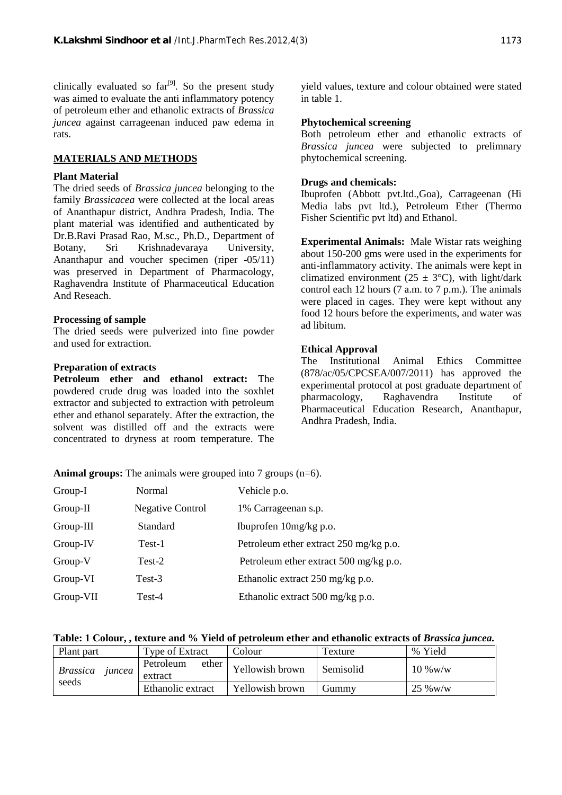clinically evaluated so  $far<sup>[9]</sup>$ . So the present study was aimed to evaluate the anti inflammatory potency of petroleum ether and ethanolic extracts of *Brassica juncea* against carrageenan induced paw edema in rats.

#### **MATERIALS AND METHODS**

#### **Plant Material**

The dried seeds of *Brassica juncea* belonging to the family *Brassicacea* were collected at the local areas of Ananthapur district, Andhra Pradesh, India. The plant material was identified and authenticated by Dr.B.Ravi Prasad Rao, M.sc., Ph.D., Department of Botany, Sri Krishnadevaraya University, Ananthapur and voucher specimen (riper -05/11) was preserved in Department of Pharmacology, Raghavendra Institute of Pharmaceutical Education And Reseach.

#### **Processing of sample**

The dried seeds were pulverized into fine powder and used for extraction.

#### **Preparation of extracts**

**Petroleum ether and ethanol extract:** The powdered crude drug was loaded into the soxhlet extractor and subjected to extraction with petroleum ether and ethanol separately. After the extraction, the solvent was distilled off and the extracts were concentrated to dryness at room temperature. The yield values, texture and colour obtained were stated in table 1.

#### **Phytochemical screening**

Both petroleum ether and ethanolic extracts of *Brassica juncea* were subjected to prelimnary phytochemical screening.

#### **Drugs and chemicals:**

Ibuprofen (Abbott pvt.ltd.,Goa), Carrageenan (Hi Media labs pvt ltd.), Petroleum Ether (Thermo Fisher Scientific pvt ltd) and Ethanol.

**Experimental Animals:** Male Wistar rats weighing about 150-200 gms were used in the experiments for anti-inflammatory activity. The animals were kept in climatized environment (25  $\pm$  3°C), with light/dark control each 12 hours (7 a.m. to 7 p.m.). The animals were placed in cages. They were kept without any food 12 hours before the experiments, and water was ad libitum.

#### **Ethical Approval**

The Institutional Animal Ethics Committee  $(878/ac/05/CPCSEA/007/2011)$  has approved the experimental protocol at post graduate department of pharmacology, Raghavendra Institute of Pharmaceutical Education Research, Ananthapur, Andhra Pradesh, India.

**Animal groups:** The animals were grouped into 7 groups (n=6).

| Group-I     | Normal                  | Vehicle p.o.                               |
|-------------|-------------------------|--------------------------------------------|
| Group-II    | <b>Negative Control</b> | 1% Carrageenan s.p.                        |
| Group-III   | Standard                | Ibuprofen $10mg/kg$ p.o.                   |
| Group-IV    | Test-1                  | Petroleum ether extract 250 mg/kg p.o.     |
| Group-V     | Test-2                  | Petroleum ether extract 500 mg/kg p.o.     |
| Group-VI    | Test-3                  | Ethanolic extract $250 \text{ mg/kg}$ p.o. |
| $Group-VII$ | Test-4                  | Ethanolic extract 500 mg/kg p.o.           |

#### **Table: 1 Colour, , texture and % Yield of petroleum ether and ethanolic extracts of** *Brassica juncea.*

| Plant part                | Type of Extract               | Colour          | Texture   | % Yield    |
|---------------------------|-------------------------------|-----------------|-----------|------------|
| <i>Brassica</i><br>juncea | Petroleum<br>ether<br>extract | Yellowish brown | Semisolid | $10\%$ w/w |
| seeds                     | Ethanolic extract             | Yellowish brown | Gummy)    | $25\%$ W/W |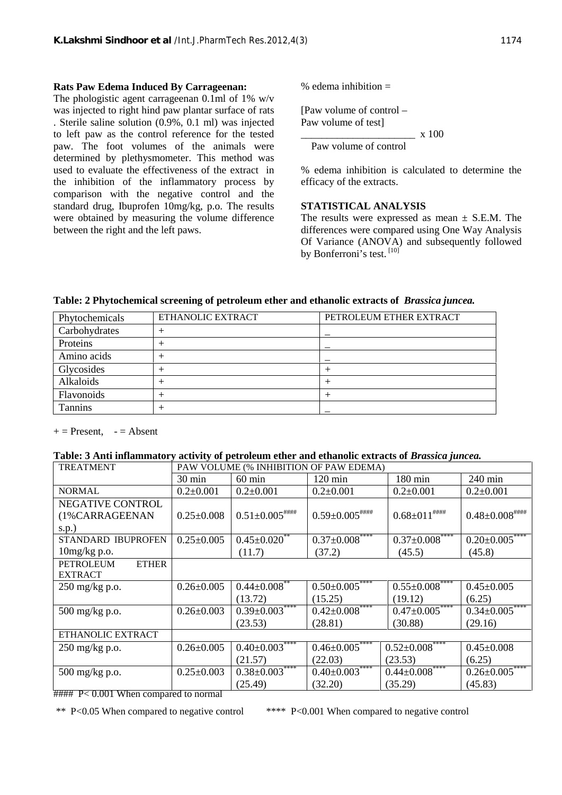#### **Rats Paw Edema Induced By Carrageenan:**

The phologistic agent carrageenan 0.1ml of 1% w/v was injected to right hind paw plantar surface of rats . Sterile saline solution (0.9%, 0.1 ml) was injected to left paw as the control reference for the tested paw. The foot volumes of the animals were determined by plethysmometer. This method was used to evaluate the effectiveness of the extract in the inhibition of the inflammatory process by comparison with the negative control and the standard drug, Ibuprofen 10mg/kg, p.o. The results were obtained by measuring the volume difference between the right and the left paws.

% edema inhibition  $=$ 

[Paw volume of control – Paw volume of test]  $\frac{1}{x} \times 100$ 

Paw volume of control

% edema inhibition is calculated to determine the efficacy of the extracts.

#### **STATISTICAL ANALYSIS**

The results were expressed as mean  $\pm$  S.E.M. The differences were compared using One Way Analysis Of Variance (ANOVA) and subsequently followed by Bonferroni's test. <sup>[10]</sup>

**Table: 2 Phytochemical screening of petroleum ether and ethanolic extracts of** *Brassica juncea.*

| Phytochemicals | ETHANOLIC EXTRACT | PETROLEUM ETHER EXTRACT |
|----------------|-------------------|-------------------------|
| Carbohydrates  |                   |                         |
| Proteins       |                   |                         |
| Amino acids    |                   |                         |
| Glycosides     |                   |                         |
| Alkaloids      |                   |                         |
| Flavonoids     |                   |                         |
| <b>Tannins</b> |                   |                         |

 $+=$  Present,  $-$  = Absent

#### **Table: 3 Anti inflammatory activity of petroleum ether and ethanolic extracts of** *Brassica juncea.*

| <b>TREATMENT</b>                                                                                                                                                                                                                                                                                                                                                                     | PAW VOLUME (% INHIBITION OF PAW EDEMA) |                                |                       |                                  |                                 |
|--------------------------------------------------------------------------------------------------------------------------------------------------------------------------------------------------------------------------------------------------------------------------------------------------------------------------------------------------------------------------------------|----------------------------------------|--------------------------------|-----------------------|----------------------------------|---------------------------------|
|                                                                                                                                                                                                                                                                                                                                                                                      | $30 \text{ min}$                       | $60 \text{ min}$               | $120 \text{ min}$     | 180 min                          | $240 \text{ min}$               |
| <b>NORMAL</b>                                                                                                                                                                                                                                                                                                                                                                        | $0.2 \pm 0.001$                        | $0.2 \pm 0.001$                | $0.2 \pm 0.001$       | $0.2 \pm 0.001$                  | $0.2 \pm 0.001$                 |
| NEGATIVE CONTROL                                                                                                                                                                                                                                                                                                                                                                     |                                        |                                |                       |                                  |                                 |
| (1%CARRAGEENAN                                                                                                                                                                                                                                                                                                                                                                       | $0.25 \pm 0.008$                       | $0.51 \pm 0.005$ ####          | $0.59 \pm 0.005$ #### | $0.68 \pm 011$ ####              | $0.48{\pm0.008}^{ \# \# \# \#}$ |
| s.p.)                                                                                                                                                                                                                                                                                                                                                                                |                                        |                                |                       |                                  |                                 |
| <b>STANDARD IBUPROFEN</b>                                                                                                                                                                                                                                                                                                                                                            | $0.25 \pm 0.005$                       | $0.45 \pm 0.020$ <sup>**</sup> | $0.37 \pm 0.008$ **** | $0.37 \pm 0.008$ ****            | $0.20 \pm 0.005$ ****           |
| $10$ mg/kg p.o.                                                                                                                                                                                                                                                                                                                                                                      |                                        | (11.7)                         | (37.2)                | (45.5)                           | (45.8)                          |
| <b>PETROLEUM</b><br><b>ETHER</b>                                                                                                                                                                                                                                                                                                                                                     |                                        |                                |                       |                                  |                                 |
| <b>EXTRACT</b>                                                                                                                                                                                                                                                                                                                                                                       |                                        |                                |                       |                                  |                                 |
| $250$ mg/kg p.o.                                                                                                                                                                                                                                                                                                                                                                     | $0.26 \pm 0.005$                       | $0.44 \pm 0.008$ **            | $0.50 \pm 0.005$ **** | $0.55 \pm 0.008$ ****            | $0.45 \pm 0.005$                |
|                                                                                                                                                                                                                                                                                                                                                                                      |                                        | (13.72)                        | (15.25)               | (19.12)                          | (6.25)                          |
| 500 mg/kg p.o.                                                                                                                                                                                                                                                                                                                                                                       | $0.26 \pm 0.003$                       | $0.39 \pm 0.003$ ****          | $0.42 \pm 0.008$ **** | $0.47 \pm 0.005$ ****            | $0.34 \pm 0.005$ ****           |
|                                                                                                                                                                                                                                                                                                                                                                                      |                                        | (23.53)                        | (28.81)               | (30.88)                          | (29.16)                         |
| ETHANOLIC EXTRACT                                                                                                                                                                                                                                                                                                                                                                    |                                        |                                |                       |                                  |                                 |
| $250 \text{ mg/kg}$ p.o.                                                                                                                                                                                                                                                                                                                                                             | $0.26 \pm 0.005$                       | $0.40 \pm 0.003$ ****          | $0.46 \pm 0.005$      | $0.52 \pm 0.008$ ****            | $0.45 \pm 0.008$                |
|                                                                                                                                                                                                                                                                                                                                                                                      |                                        | (21.57)                        | (22.03)               | (23.53)                          | (6.25)                          |
| 500 mg/kg p.o.                                                                                                                                                                                                                                                                                                                                                                       | $0.25 \pm 0.003$                       | $0.38 \pm 0.003***$            | $0.40 \pm 0.003$ **** | $0.44 \overline{\pm 0.008}$ **** | $0.26 \pm 0.005$ ****           |
| $\overline{u}$ $\overline{u}$ $\overline{u}$ $\overline{v}$ $\overline{v}$ $\overline{v}$ $\overline{v}$ $\overline{v}$ $\overline{v}$ $\overline{v}$ $\overline{v}$ $\overline{v}$ $\overline{v}$ $\overline{v}$ $\overline{v}$ $\overline{v}$ $\overline{v}$ $\overline{v}$ $\overline{v}$ $\overline{v}$ $\overline{v}$ $\overline{v}$ $\overline{v}$ $\overline{v}$ $\overline{$ |                                        | (25.49)                        | (32.20)               | (35.29)                          | (45.83)                         |

#### P< 0.001 When compared to normal

\*\* P<0.05 When compared to negative control \*\*\*\* P<0.001 When compared to negative control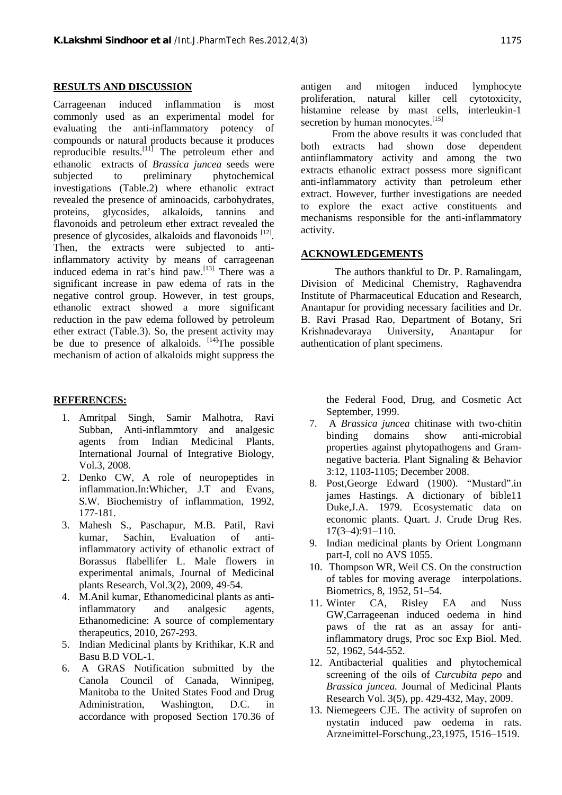#### **RESULTS AND DISCUSSION**

Carrageenan induced inflammation is most commonly used as an experimental model for evaluating the anti-inflammatory potency of compounds or natural products because it produces both reproducible results.<sup>[11]</sup> The petroleum ether and ethanolic extracts of *Brassica juncea* seeds were subjected to preliminary phytochemical investigations (Table.2) where ethanolic extract revealed the presence of aminoacids, carbohydrates, proteins, glycosides, alkaloids, tannins and flavonoids and petroleum ether extract revealed the presence of glycosides, alkaloids and flavonoids [12]. Then, the extracts were subjected to antiinflammatory activity by means of carrageenan induced edema in rat's hind paw.<sup>[13]</sup> There was a significant increase in paw edema of rats in the negative control group. However, in test groups, ethanolic extract showed a more significant reduction in the paw edema followed by petroleum ether extract (Table.3). So, the present activity may be due to presence of alkaloids.  $[14]$ The possible mechanism of action of alkaloids might suppress the

#### **REFERENCES:**

- 1. Amritpal Singh, Samir Malhotra, Ravi Subban, Anti-inflammtory and analgesic agents from Indian Medicinal Plants, International Journal of Integrative Biology, Vol.3, 2008.
- 2. Denko CW, A role of neuropeptides in inflammation.In:Whicher, J.T and Evans, S.W. Biochemistry of inflammation, 1992, 177-181.
- 3. Mahesh S., Paschapur, M.B. Patil, Ravi kumar, Sachin, Evaluation of antiinflammatory activity of ethanolic extract of Borassus flabellifer L. Male flowers in experimental animals, Journal of Medicinal plants Research, Vol.3(2), 2009, 49-54.
- 4. M.Anil kumar, Ethanomedicinal plants as antiinflammatory and analgesic agents, Ethanomedicine: A source of complementary therapeutics, 2010, 267-293.
- 5. Indian Medicinal plants by Krithikar, K.R and Basu B.D VOL-1.
- 6. A GRAS Notification submitted by the Canola Council of Canada, Winnipeg, Manitoba to the United States Food and Drug Administration, Washington, D.C. in accordance with proposed Section 170.36 of

antigen and mitogen induced lymphocyte proliferation, natural killer cell cytotoxicity, histamine release by mast cells, interleukin-1 secretion by human monocytes.<sup>[15]</sup>

 From the above results it was concluded that extracts had shown dose dependent antiinflammatory activity and among the two extracts ethanolic extract possess more significant anti-inflammatory activity than petroleum ether extract. However, further investigations are needed to explore the exact active constituents and mechanisms responsible for the anti-inflammatory activity.

#### **ACKNOWLEDGEMENTS**

The authors thankful to Dr. P. Ramalingam, Division of Medicinal Chemistry, Raghavendra Institute of Pharmaceutical Education and Research, Anantapur for providing necessary facilities and Dr. B. Ravi Prasad Rao, Department of Botany, Sri Krishnadevaraya University, Anantapur for authentication of plant specimens.

> the Federal Food, Drug, and Cosmetic Act September, 1999.

- 7. A *Brassica juncea* chitinase with two-chitin binding domains show anti-microbial properties against phytopathogens and Gram negative bacteria. Plant Signaling & Behavior 3:12, 1103-1105; December 2008.
- 8. Post,George Edward (1900). "Mustard".in james Hastings. A dictionary of bible11 Duke,J.A. 1979. Ecosystematic data on economic plants. Quart. J. Crude Drug Res. 17(3–4):91–110.
- 9. Indian medicinal plants by Orient Longmann part-I, coll no AVS 1055.
- 10. Thompson WR, Weil CS. On the construction of tables for moving average interpolations. Biometrics, 8, 1952, 51–54.
- 11. Winter CA, Risley EA and Nuss GW,Carrageenan induced oedema in hind paws of the rat as an assay for antiinflammatory drugs, Proc soc Exp Biol. Med. 52, 1962, 544-552.
- 12. Antibacterial qualities and phytochemical screening of the oils of *Curcubita pepo* and *Brassica juncea.* Journal of Medicinal Plants Research Vol. 3(5), pp. 429-432, May, 2009.
- 13. Niemegeers CJE. The activity of suprofen on nystatin induced paw oedema in rats. Arzneimittel-Forschung.,23,1975, 1516–1519.